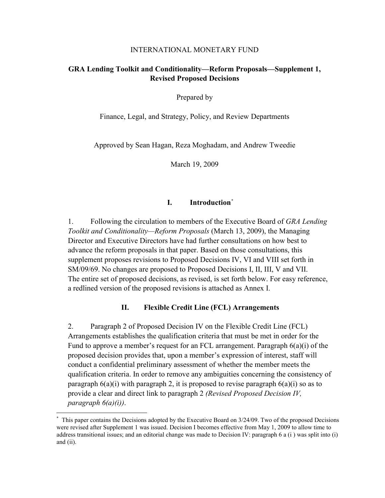### INTERNATIONAL MONETARY FUND

# **GRA Lending Toolkit and Conditionality—Reform Proposals—Supplement 1, Revised Proposed Decisions**

Prepared by

Finance, Legal, and Strategy, Policy, and Review Departments

Approved by Sean Hagan, Reza Moghadam, and Andrew Tweedie

March 19, 2009

## **I. Introduction[\\*](#page-0-0)**

1. Following the circulation to members of the Executive Board of *GRA Lending Toolkit and Conditionality—Reform Proposals* (March 13, 2009), the Managing Director and Executive Directors have had further consultations on how best to advance the reform proposals in that paper. Based on those consultations, this supplement proposes revisions to Proposed Decisions IV, VI and VIII set forth in SM/09/69. No changes are proposed to Proposed Decisions I, II, III, V and VII. The entire set of proposed decisions, as revised, is set forth below. For easy reference, a redlined version of the proposed revisions is attached as Annex I.

## **II. Flexible Credit Line (FCL) Arrangements**

2. Paragraph 2 of Proposed Decision IV on the Flexible Credit Line (FCL) Arrangements establishes the qualification criteria that must be met in order for the Fund to approve a member's request for an FCL arrangement. Paragraph 6(a)(i) of the proposed decision provides that, upon a member's expression of interest, staff will conduct a confidential preliminary assessment of whether the member meets the qualification criteria. In order to remove any ambiguities concerning the consistency of paragraph  $6(a)(i)$  with paragraph 2, it is proposed to revise paragraph  $6(a)(i)$  so as to provide a clear and direct link to paragraph 2 *(Revised Proposed Decision IV, paragraph 6(a)(i))*.

 $\overline{a}$ 

<span id="page-0-0"></span><sup>\*</sup> This paper contains the Decisions adopted by the Executive Board on 3/24/09. Two of the proposed Decisions were revised after Supplement 1 was issued. Decision I becomes effective from May 1, 2009 to allow time to address transitional issues; and an editorial change was made to Decision IV: paragraph 6 a (i ) was split into (i) and (ii).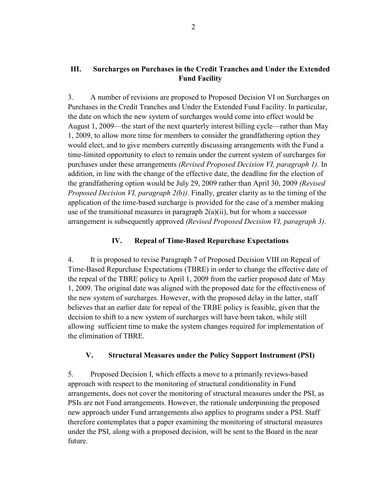# **III. Surcharges on Purchases in the Credit Tranches and Under the Extended Fund Facility**

3. A number of revisions are proposed to Proposed Decision VI on Surcharges on Purchases in the Credit Tranches and Under the Extended Fund Facility. In particular, the date on which the new system of surcharges would come into effect would be August 1, 2009—the start of the next quarterly interest billing cycle—rather than May 1, 2009, to allow more time for members to consider the grandfathering option they would elect, and to give members currently discussing arrangements with the Fund a time-limited opportunity to elect to remain under the current system of surcharges for purchases under these arrangements *(Revised Proposed Decision VI, paragraph 1)*. In addition, in line with the change of the effective date, the deadline for the election of the grandfathering option would be July 29, 2009 rather than April 30, 2009 *(Revised Proposed Decision VI, paragraph 2(b))*. Finally, greater clarity as to the timing of the application of the time-based surcharge is provided for the case of a member making use of the transitional measures in paragraph  $2(a)(ii)$ , but for whom a successor arrangement is subsequently approved *(Revised Proposed Decision VI, paragraph 3)*.

# **IV. Repeal of Time-Based Repurchase Expectations**

4. It is proposed to revise Paragraph 7 of Proposed Decision VIII on Repeal of Time-Based Repurchase Expectations (TBRE) in order to change the effective date of the repeal of the TBRE policy to April 1, 2009 from the earlier proposed date of May 1, 2009. The original date was aligned with the proposed date for the effectiveness of the new system of surcharges. However, with the proposed delay in the latter, staff believes that an earlier date for repeal of the TRBE policy is feasible, given that the decision to shift to a new system of surcharges will have been taken, while still allowing sufficient time to make the system changes required for implementation of the elimination of TBRE.

## **V. Structural Measures under the Policy Support Instrument (PSI)**

5. Proposed Decision I, which effects a move to a primarily reviews-based approach with respect to the monitoring of structural conditionality in Fund arrangements, does not cover the monitoring of structural measures under the PSI, as PSIs are not Fund arrangements. However, the rationale underpinning the proposed new approach under Fund arrangements also applies to programs under a PSI. Staff therefore contemplates that a paper examining the monitoring of structural measures under the PSI, along with a proposed decision, will be sent to the Board in the near future.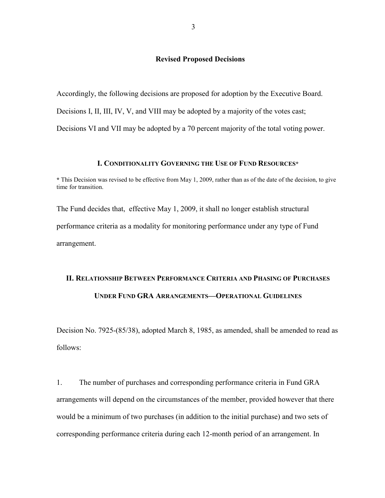### **Revised Proposed Decisions**

Accordingly, the following decisions are proposed for adoption by the Executive Board. Decisions I, II, III, IV, V, and VIII may be adopted by a majority of the votes cast; Decisions VI and VII may be adopted by a 70 percent majority of the total voting power.

### **I. CONDITIONALITY GOVERNING THE USE OF FUND RESOURCES\***

**\*** This Decision was revised to be effective from May 1, 2009, rather than as of the date of the decision, to give time for transition.

The Fund decides that, effective May 1, 2009, it shall no longer establish structural performance criteria as a modality for monitoring performance under any type of Fund arrangement.

# **II. RELATIONSHIP BETWEEN PERFORMANCE CRITERIA AND PHASING OF PURCHASES UNDER FUND GRA ARRANGEMENTS—OPERATIONAL GUIDELINES**

Decision No. 7925-(85/38), adopted March 8, 1985, as amended, shall be amended to read as follows:

1. The number of purchases and corresponding performance criteria in Fund GRA arrangements will depend on the circumstances of the member, provided however that there would be a minimum of two purchases (in addition to the initial purchase) and two sets of corresponding performance criteria during each 12-month period of an arrangement. In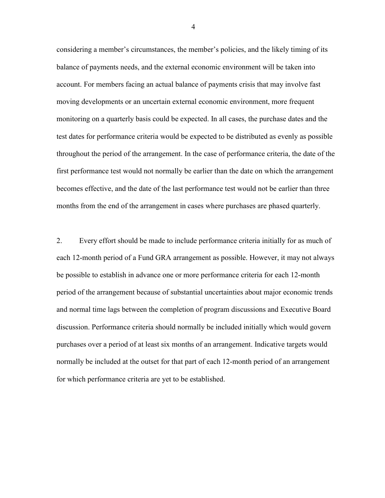considering a member's circumstances, the member's policies, and the likely timing of its balance of payments needs, and the external economic environment will be taken into account. For members facing an actual balance of payments crisis that may involve fast moving developments or an uncertain external economic environment, more frequent monitoring on a quarterly basis could be expected. In all cases, the purchase dates and the test dates for performance criteria would be expected to be distributed as evenly as possible throughout the period of the arrangement. In the case of performance criteria, the date of the first performance test would not normally be earlier than the date on which the arrangement becomes effective, and the date of the last performance test would not be earlier than three months from the end of the arrangement in cases where purchases are phased quarterly.

2. Every effort should be made to include performance criteria initially for as much of each 12-month period of a Fund GRA arrangement as possible. However, it may not always be possible to establish in advance one or more performance criteria for each 12-month period of the arrangement because of substantial uncertainties about major economic trends and normal time lags between the completion of program discussions and Executive Board discussion. Performance criteria should normally be included initially which would govern purchases over a period of at least six months of an arrangement. Indicative targets would normally be included at the outset for that part of each 12-month period of an arrangement for which performance criteria are yet to be established.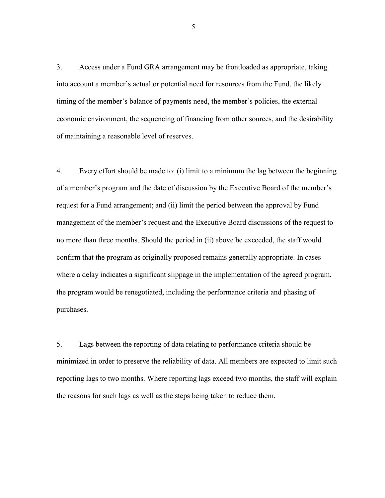3. Access under a Fund GRA arrangement may be frontloaded as appropriate, taking into account a member's actual or potential need for resources from the Fund, the likely timing of the member's balance of payments need, the member's policies, the external economic environment, the sequencing of financing from other sources, and the desirability of maintaining a reasonable level of reserves.

4. Every effort should be made to: (i) limit to a minimum the lag between the beginning of a member's program and the date of discussion by the Executive Board of the member's request for a Fund arrangement; and (ii) limit the period between the approval by Fund management of the member's request and the Executive Board discussions of the request to no more than three months. Should the period in (ii) above be exceeded, the staff would confirm that the program as originally proposed remains generally appropriate. In cases where a delay indicates a significant slippage in the implementation of the agreed program, the program would be renegotiated, including the performance criteria and phasing of purchases.

5. Lags between the reporting of data relating to performance criteria should be minimized in order to preserve the reliability of data. All members are expected to limit such reporting lags to two months. Where reporting lags exceed two months, the staff will explain the reasons for such lags as well as the steps being taken to reduce them.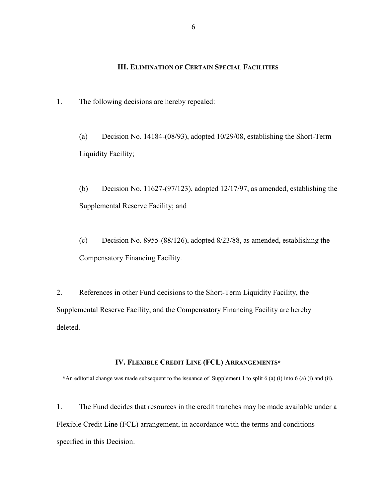### **III. ELIMINATION OF CERTAIN SPECIAL FACILITIES**

1. The following decisions are hereby repealed:

(a) Decision No. 14184-(08/93), adopted 10/29/08, establishing the Short-Term Liquidity Facility;

(b) Decision No. 11627-(97/123), adopted 12/17/97, as amended, establishing the Supplemental Reserve Facility; and

(c) Decision No. 8955-(88/126), adopted 8/23/88, as amended, establishing the Compensatory Financing Facility.

2. References in other Fund decisions to the Short-Term Liquidity Facility, the Supplemental Reserve Facility, and the Compensatory Financing Facility are hereby deleted.

### **IV. FLEXIBLE CREDIT LINE (FCL) ARRANGEMENTS\***

**\***An editorial change was made subsequent to the issuance of Supplement 1 to split 6 (a) (i) into 6 (a) (i) and (ii).

1. The Fund decides that resources in the credit tranches may be made available under a Flexible Credit Line (FCL) arrangement, in accordance with the terms and conditions specified in this Decision.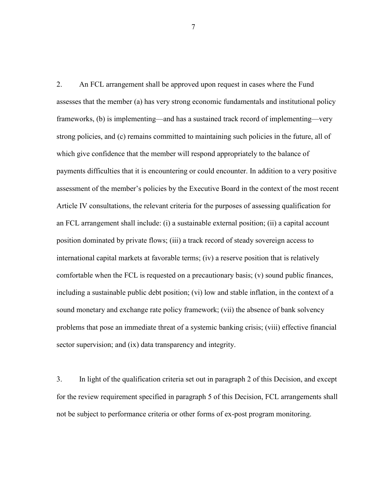2. An FCL arrangement shall be approved upon request in cases where the Fund assesses that the member (a) has very strong economic fundamentals and institutional policy frameworks, (b) is implementing—and has a sustained track record of implementing—very strong policies, and (c) remains committed to maintaining such policies in the future, all of which give confidence that the member will respond appropriately to the balance of payments difficulties that it is encountering or could encounter. In addition to a very positive assessment of the member's policies by the Executive Board in the context of the most recent Article IV consultations, the relevant criteria for the purposes of assessing qualification for an FCL arrangement shall include: (i) a sustainable external position; (ii) a capital account position dominated by private flows; (iii) a track record of steady sovereign access to international capital markets at favorable terms; (iv) a reserve position that is relatively comfortable when the FCL is requested on a precautionary basis; (v) sound public finances, including a sustainable public debt position; (vi) low and stable inflation, in the context of a sound monetary and exchange rate policy framework; (vii) the absence of bank solvency problems that pose an immediate threat of a systemic banking crisis; (viii) effective financial sector supervision; and (ix) data transparency and integrity.

3. In light of the qualification criteria set out in paragraph 2 of this Decision, and except for the review requirement specified in paragraph 5 of this Decision, FCL arrangements shall not be subject to performance criteria or other forms of ex-post program monitoring.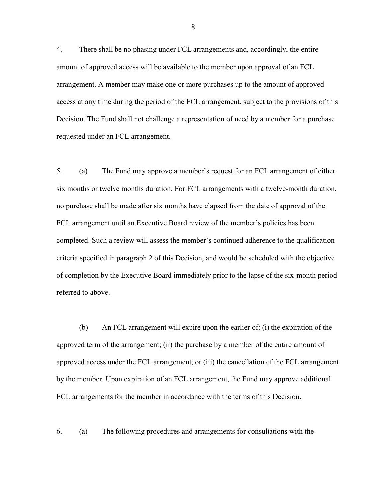4. There shall be no phasing under FCL arrangements and, accordingly, the entire amount of approved access will be available to the member upon approval of an FCL arrangement. A member may make one or more purchases up to the amount of approved access at any time during the period of the FCL arrangement, subject to the provisions of this Decision. The Fund shall not challenge a representation of need by a member for a purchase requested under an FCL arrangement.

5. (a) The Fund may approve a member's request for an FCL arrangement of either six months or twelve months duration. For FCL arrangements with a twelve-month duration, no purchase shall be made after six months have elapsed from the date of approval of the FCL arrangement until an Executive Board review of the member's policies has been completed. Such a review will assess the member's continued adherence to the qualification criteria specified in paragraph 2 of this Decision, and would be scheduled with the objective of completion by the Executive Board immediately prior to the lapse of the six-month period referred to above.

(b) An FCL arrangement will expire upon the earlier of: (i) the expiration of the approved term of the arrangement; (ii) the purchase by a member of the entire amount of approved access under the FCL arrangement; or (iii) the cancellation of the FCL arrangement by the member. Upon expiration of an FCL arrangement, the Fund may approve additional FCL arrangements for the member in accordance with the terms of this Decision.

6. (a) The following procedures and arrangements for consultations with the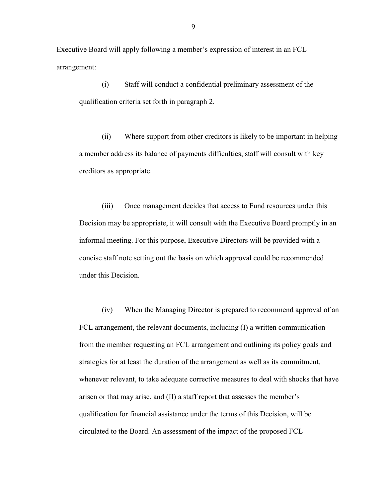Executive Board will apply following a member's expression of interest in an FCL arrangement:

(i) Staff will conduct a confidential preliminary assessment of the qualification criteria set forth in paragraph 2.

(ii) Where support from other creditors is likely to be important in helping a member address its balance of payments difficulties, staff will consult with key creditors as appropriate.

(iii) Once management decides that access to Fund resources under this Decision may be appropriate, it will consult with the Executive Board promptly in an informal meeting. For this purpose, Executive Directors will be provided with a concise staff note setting out the basis on which approval could be recommended under this Decision.

(iv) When the Managing Director is prepared to recommend approval of an FCL arrangement, the relevant documents, including (I) a written communication from the member requesting an FCL arrangement and outlining its policy goals and strategies for at least the duration of the arrangement as well as its commitment, whenever relevant, to take adequate corrective measures to deal with shocks that have arisen or that may arise, and (II) a staff report that assesses the member's qualification for financial assistance under the terms of this Decision, will be circulated to the Board. An assessment of the impact of the proposed FCL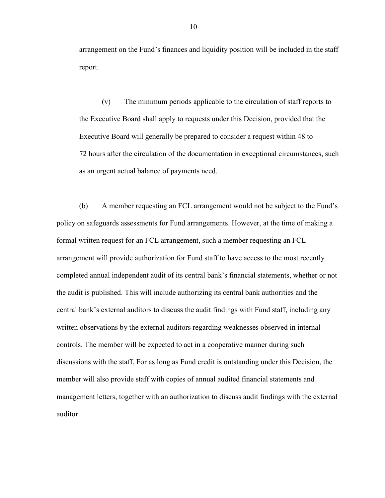arrangement on the Fund's finances and liquidity position will be included in the staff report.

(v) The minimum periods applicable to the circulation of staff reports to the Executive Board shall apply to requests under this Decision, provided that the Executive Board will generally be prepared to consider a request within 48 to 72 hours after the circulation of the documentation in exceptional circumstances, such as an urgent actual balance of payments need.

(b) A member requesting an FCL arrangement would not be subject to the Fund's policy on safeguards assessments for Fund arrangements. However, at the time of making a formal written request for an FCL arrangement, such a member requesting an FCL arrangement will provide authorization for Fund staff to have access to the most recently completed annual independent audit of its central bank's financial statements, whether or not the audit is published. This will include authorizing its central bank authorities and the central bank's external auditors to discuss the audit findings with Fund staff, including any written observations by the external auditors regarding weaknesses observed in internal controls. The member will be expected to act in a cooperative manner during such discussions with the staff. For as long as Fund credit is outstanding under this Decision, the member will also provide staff with copies of annual audited financial statements and management letters, together with an authorization to discuss audit findings with the external auditor.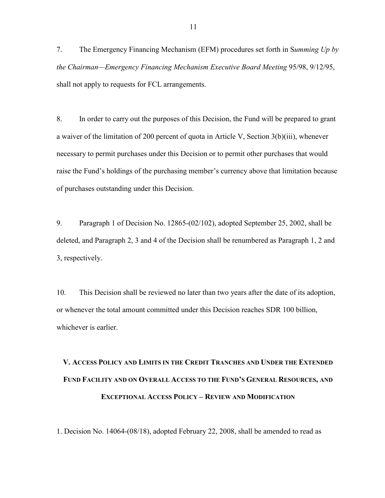7. The Emergency Financing Mechanism (EFM) procedures set forth in S*umming Up by the Chairman—Emergency Financing Mechanism Executive Board Meeting* 95/98, 9/12/95, shall not apply to requests for FCL arrangements.

8. In order to carry out the purposes of this Decision, the Fund will be prepared to grant a waiver of the limitation of 200 percent of quota in Article V, Section 3(b)(iii), whenever necessary to permit purchases under this Decision or to permit other purchases that would raise the Fund's holdings of the purchasing member's currency above that limitation because of purchases outstanding under this Decision.

9. Paragraph 1 of Decision No. 12865-(02/102), adopted September 25, 2002, shall be deleted, and Paragraph 2, 3 and 4 of the Decision shall be renumbered as Paragraph 1, 2 and 3, respectively.

10. This Decision shall be reviewed no later than two years after the date of its adoption, or whenever the total amount committed under this Decision reaches SDR 100 billion, whichever is earlier.

# **V. ACCESS POLICY AND LIMITS IN THE CREDIT TRANCHES AND UNDER THE EXTENDED FUND FACILITY AND ON OVERALL ACCESS TO THE FUND'S GENERAL RESOURCES, AND EXCEPTIONAL ACCESS POLICY – REVIEW AND MODIFICATION**

1. Decision No. 14064-(08/18), adopted February 22, 2008, shall be amended to read as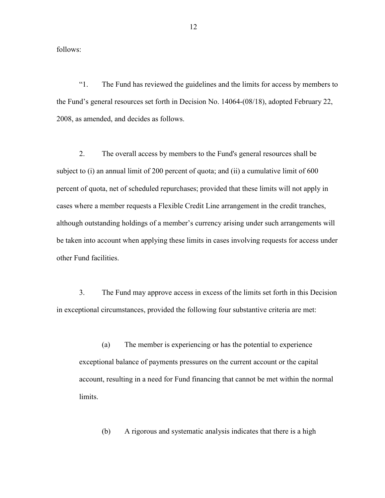follows:

"1. The Fund has reviewed the guidelines and the limits for access by members to the Fund's general resources set forth in Decision No. 14064-(08/18), adopted February 22, 2008, as amended, and decides as follows.

2. The overall access by members to the Fund's general resources shall be subject to (i) an annual limit of 200 percent of quota; and (ii) a cumulative limit of 600 percent of quota, net of scheduled repurchases; provided that these limits will not apply in cases where a member requests a Flexible Credit Line arrangement in the credit tranches, although outstanding holdings of a member's currency arising under such arrangements will be taken into account when applying these limits in cases involving requests for access under other Fund facilities.

3. The Fund may approve access in excess of the limits set forth in this Decision in exceptional circumstances, provided the following four substantive criteria are met:

(a) The member is experiencing or has the potential to experience exceptional balance of payments pressures on the current account or the capital account, resulting in a need for Fund financing that cannot be met within the normal limits.

(b) A rigorous and systematic analysis indicates that there is a high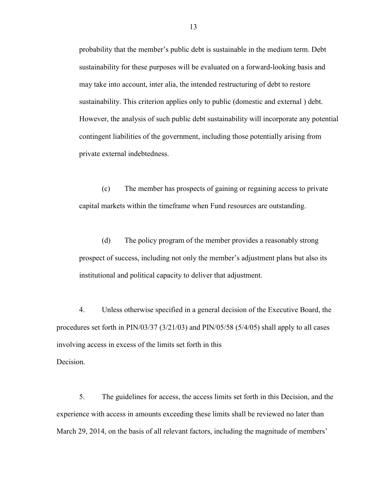probability that the member's public debt is sustainable in the medium term. Debt sustainability for these purposes will be evaluated on a forward-looking basis and may take into account, inter alia, the intended restructuring of debt to restore sustainability. This criterion applies only to public (domestic and external ) debt. However, the analysis of such public debt sustainability will incorporate any potential contingent liabilities of the government, including those potentially arising from private external indebtedness.

(c) The member has prospects of gaining or regaining access to private capital markets within the timeframe when Fund resources are outstanding.

(d) The policy program of the member provides a reasonably strong prospect of success, including not only the member's adjustment plans but also its institutional and political capacity to deliver that adjustment.

4. Unless otherwise specified in a general decision of the Executive Board, the procedures set forth in PIN/03/37 (3/21/03) and PIN/05/58 (5/4/05) shall apply to all cases involving access in excess of the limits set forth in this Decision.

5. The guidelines for access, the access limits set forth in this Decision, and the experience with access in amounts exceeding these limits shall be reviewed no later than March 29, 2014, on the basis of all relevant factors, including the magnitude of members'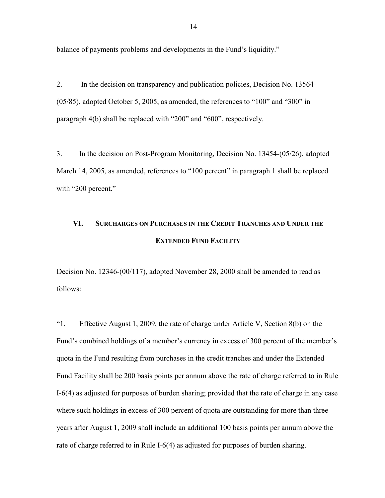balance of payments problems and developments in the Fund's liquidity."

2. In the decision on transparency and publication policies, Decision No. 13564- (05/85), adopted October 5, 2005, as amended, the references to "100" and "300" in paragraph 4(b) shall be replaced with "200" and "600", respectively.

3. In the decision on Post-Program Monitoring, Decision No. 13454-(05/26), adopted March 14, 2005, as amended, references to "100 percent" in paragraph 1 shall be replaced with "200 percent."

# **VI. SURCHARGES ON PURCHASES IN THE CREDIT TRANCHES AND UNDER THE EXTENDED FUND FACILITY**

Decision No. 12346-(00/117), adopted November 28, 2000 shall be amended to read as follows:

"1. Effective August 1, 2009, the rate of charge under Article V, Section 8(b) on the Fund's combined holdings of a member's currency in excess of 300 percent of the member's quota in the Fund resulting from purchases in the credit tranches and under the Extended Fund Facility shall be 200 basis points per annum above the rate of charge referred to in Rule I-6(4) as adjusted for purposes of burden sharing; provided that the rate of charge in any case where such holdings in excess of 300 percent of quota are outstanding for more than three years after August 1, 2009 shall include an additional 100 basis points per annum above the rate of charge referred to in Rule I-6(4) as adjusted for purposes of burden sharing.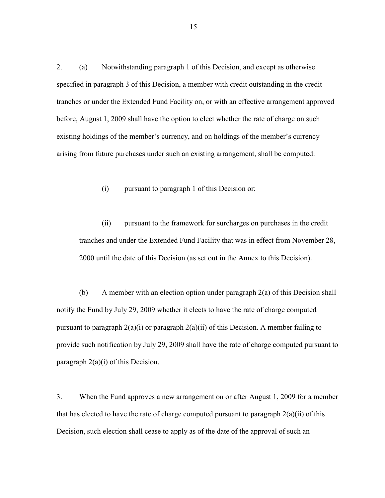2. (a) Notwithstanding paragraph 1 of this Decision, and except as otherwise specified in paragraph 3 of this Decision, a member with credit outstanding in the credit tranches or under the Extended Fund Facility on, or with an effective arrangement approved before, August 1, 2009 shall have the option to elect whether the rate of charge on such existing holdings of the member's currency, and on holdings of the member's currency arising from future purchases under such an existing arrangement, shall be computed:

(i) pursuant to paragraph 1 of this Decision or;

(ii) pursuant to the framework for surcharges on purchases in the credit tranches and under the Extended Fund Facility that was in effect from November 28, 2000 until the date of this Decision (as set out in the Annex to this Decision).

(b) A member with an election option under paragraph  $2(a)$  of this Decision shall notify the Fund by July 29, 2009 whether it elects to have the rate of charge computed pursuant to paragraph  $2(a)(i)$  or paragraph  $2(a)(ii)$  of this Decision. A member failing to provide such notification by July 29, 2009 shall have the rate of charge computed pursuant to paragraph  $2(a)(i)$  of this Decision.

3. When the Fund approves a new arrangement on or after August 1, 2009 for a member that has elected to have the rate of charge computed pursuant to paragraph  $2(a)(ii)$  of this Decision, such election shall cease to apply as of the date of the approval of such an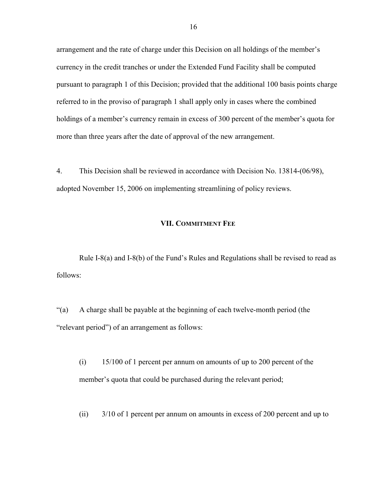arrangement and the rate of charge under this Decision on all holdings of the member's currency in the credit tranches or under the Extended Fund Facility shall be computed pursuant to paragraph 1 of this Decision; provided that the additional 100 basis points charge referred to in the proviso of paragraph 1 shall apply only in cases where the combined holdings of a member's currency remain in excess of 300 percent of the member's quota for more than three years after the date of approval of the new arrangement.

4. This Decision shall be reviewed in accordance with Decision No. 13814-(06/98), adopted November 15, 2006 on implementing streamlining of policy reviews.

### **VII. COMMITMENT FEE**

Rule I-8(a) and I-8(b) of the Fund's Rules and Regulations shall be revised to read as follows:

"(a) A charge shall be payable at the beginning of each twelve-month period (the "relevant period") of an arrangement as follows:

(i) 15/100 of 1 percent per annum on amounts of up to 200 percent of the member's quota that could be purchased during the relevant period;

(ii) 3/10 of 1 percent per annum on amounts in excess of 200 percent and up to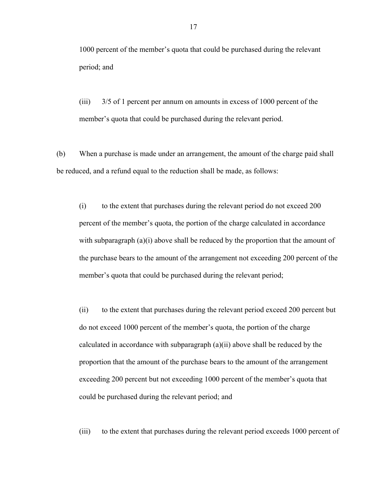1000 percent of the member's quota that could be purchased during the relevant period; and

(iii) 3/5 of 1 percent per annum on amounts in excess of 1000 percent of the member's quota that could be purchased during the relevant period.

(b) When a purchase is made under an arrangement, the amount of the charge paid shall be reduced, and a refund equal to the reduction shall be made, as follows:

(i) to the extent that purchases during the relevant period do not exceed 200 percent of the member's quota, the portion of the charge calculated in accordance with subparagraph  $(a)(i)$  above shall be reduced by the proportion that the amount of the purchase bears to the amount of the arrangement not exceeding 200 percent of the member's quota that could be purchased during the relevant period;

(ii) to the extent that purchases during the relevant period exceed 200 percent but do not exceed 1000 percent of the member's quota, the portion of the charge calculated in accordance with subparagraph (a)(ii) above shall be reduced by the proportion that the amount of the purchase bears to the amount of the arrangement exceeding 200 percent but not exceeding 1000 percent of the member's quota that could be purchased during the relevant period; and

(iii) to the extent that purchases during the relevant period exceeds 1000 percent of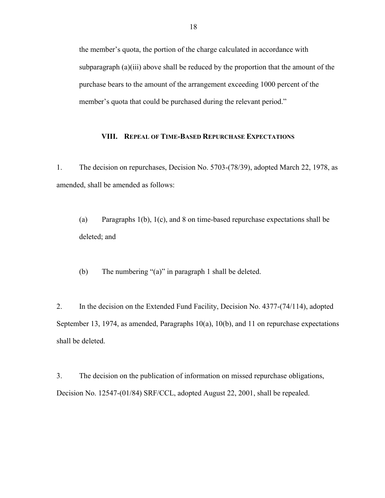the member's quota, the portion of the charge calculated in accordance with subparagraph (a)(iii) above shall be reduced by the proportion that the amount of the purchase bears to the amount of the arrangement exceeding 1000 percent of the member's quota that could be purchased during the relevant period."

### **VIII. REPEAL OF TIME-BASED REPURCHASE EXPECTATIONS**

1. The decision on repurchases, Decision No. 5703-(78/39), adopted March 22, 1978, as amended, shall be amended as follows:

(a) Paragraphs 1(b), 1(c), and 8 on time-based repurchase expectations shall be deleted; and

(b) The numbering "(a)" in paragraph 1 shall be deleted.

2. In the decision on the Extended Fund Facility, Decision No. 4377-(74/114), adopted September 13, 1974, as amended, Paragraphs 10(a), 10(b), and 11 on repurchase expectations shall be deleted.

3. The decision on the publication of information on missed repurchase obligations, Decision No. 12547-(01/84) SRF/CCL, adopted August 22, 2001, shall be repealed.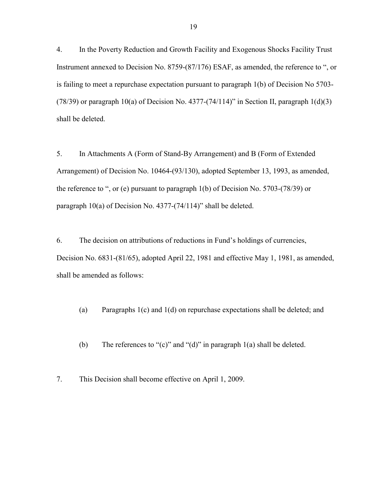4. In the Poverty Reduction and Growth Facility and Exogenous Shocks Facility Trust Instrument annexed to Decision No. 8759-(87/176) ESAF, as amended, the reference to ", or is failing to meet a repurchase expectation pursuant to paragraph 1(b) of Decision No 5703- (78/39) or paragraph 10(a) of Decision No. 4377-(74/114)" in Section II, paragraph  $1(d)(3)$ shall be deleted.

5. In Attachments A (Form of Stand-By Arrangement) and B (Form of Extended Arrangement) of Decision No. 10464-(93/130), adopted September 13, 1993, as amended, the reference to ", or (e) pursuant to paragraph 1(b) of Decision No. 5703-(78/39) or paragraph 10(a) of Decision No. 4377-(74/114)" shall be deleted.

6. The decision on attributions of reductions in Fund's holdings of currencies, Decision No. 6831-(81/65), adopted April 22, 1981 and effective May 1, 1981, as amended, shall be amended as follows:

- (a) Paragraphs 1(c) and 1(d) on repurchase expectations shall be deleted; and
- (b) The references to "(c)" and "(d)" in paragraph  $1(a)$  shall be deleted.
- 7. This Decision shall become effective on April 1, 2009.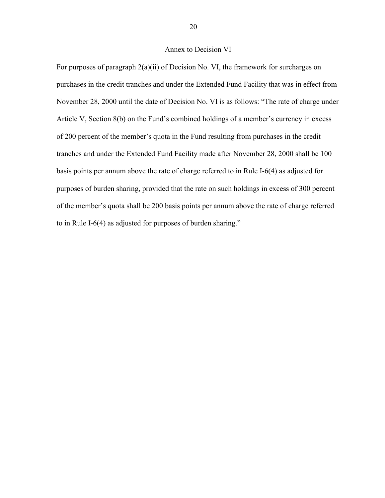### Annex to Decision VI

For purposes of paragraph 2(a)(ii) of Decision No. VI, the framework for surcharges on purchases in the credit tranches and under the Extended Fund Facility that was in effect from November 28, 2000 until the date of Decision No. VI is as follows: "The rate of charge under Article V, Section 8(b) on the Fund's combined holdings of a member's currency in excess of 200 percent of the member's quota in the Fund resulting from purchases in the credit tranches and under the Extended Fund Facility made after November 28, 2000 shall be 100 basis points per annum above the rate of charge referred to in Rule I-6(4) as adjusted for purposes of burden sharing, provided that the rate on such holdings in excess of 300 percent of the member's quota shall be 200 basis points per annum above the rate of charge referred to in Rule I-6(4) as adjusted for purposes of burden sharing."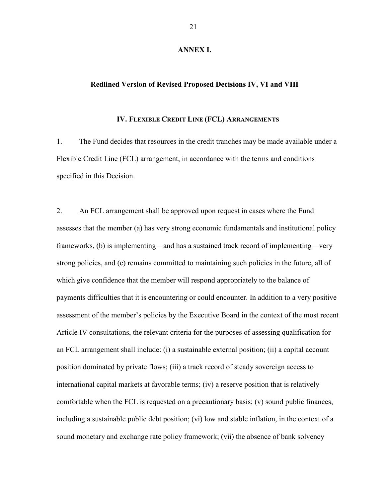#### **ANNEX I.**

### **Redlined Version of Revised Proposed Decisions IV, VI and VIII**

### **IV. FLEXIBLE CREDIT LINE (FCL) ARRANGEMENTS**

1. The Fund decides that resources in the credit tranches may be made available under a Flexible Credit Line (FCL) arrangement, in accordance with the terms and conditions specified in this Decision.

2. An FCL arrangement shall be approved upon request in cases where the Fund assesses that the member (a) has very strong economic fundamentals and institutional policy frameworks, (b) is implementing—and has a sustained track record of implementing—very strong policies, and (c) remains committed to maintaining such policies in the future, all of which give confidence that the member will respond appropriately to the balance of payments difficulties that it is encountering or could encounter. In addition to a very positive assessment of the member's policies by the Executive Board in the context of the most recent Article IV consultations, the relevant criteria for the purposes of assessing qualification for an FCL arrangement shall include: (i) a sustainable external position; (ii) a capital account position dominated by private flows; (iii) a track record of steady sovereign access to international capital markets at favorable terms; (iv) a reserve position that is relatively comfortable when the FCL is requested on a precautionary basis; (v) sound public finances, including a sustainable public debt position; (vi) low and stable inflation, in the context of a sound monetary and exchange rate policy framework; (vii) the absence of bank solvency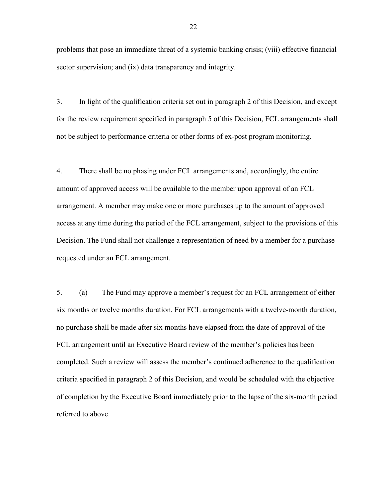problems that pose an immediate threat of a systemic banking crisis; (viii) effective financial sector supervision; and (ix) data transparency and integrity.

3. In light of the qualification criteria set out in paragraph 2 of this Decision, and except for the review requirement specified in paragraph 5 of this Decision, FCL arrangements shall not be subject to performance criteria or other forms of ex-post program monitoring.

4. There shall be no phasing under FCL arrangements and, accordingly, the entire amount of approved access will be available to the member upon approval of an FCL arrangement. A member may make one or more purchases up to the amount of approved access at any time during the period of the FCL arrangement, subject to the provisions of this Decision. The Fund shall not challenge a representation of need by a member for a purchase requested under an FCL arrangement.

5. (a) The Fund may approve a member's request for an FCL arrangement of either six months or twelve months duration. For FCL arrangements with a twelve-month duration, no purchase shall be made after six months have elapsed from the date of approval of the FCL arrangement until an Executive Board review of the member's policies has been completed. Such a review will assess the member's continued adherence to the qualification criteria specified in paragraph 2 of this Decision, and would be scheduled with the objective of completion by the Executive Board immediately prior to the lapse of the six-month period referred to above.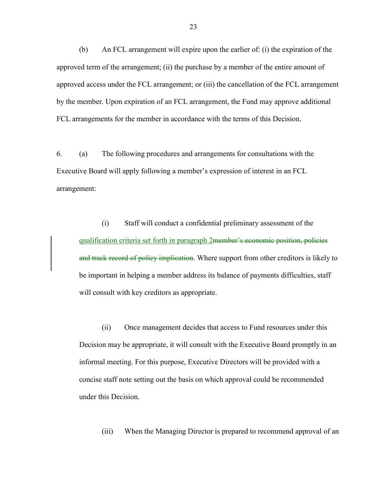(b) An FCL arrangement will expire upon the earlier of: (i) the expiration of the approved term of the arrangement; (ii) the purchase by a member of the entire amount of approved access under the FCL arrangement; or (iii) the cancellation of the FCL arrangement by the member. Upon expiration of an FCL arrangement, the Fund may approve additional FCL arrangements for the member in accordance with the terms of this Decision.

6. (a) The following procedures and arrangements for consultations with the Executive Board will apply following a member's expression of interest in an FCL arrangement:

(i) Staff will conduct a confidential preliminary assessment of the qualification criteria set forth in paragraph 2member's economic position, policies and track record of policy implication. Where support from other creditors is likely to be important in helping a member address its balance of payments difficulties, staff will consult with key creditors as appropriate.

(ii) Once management decides that access to Fund resources under this Decision may be appropriate, it will consult with the Executive Board promptly in an informal meeting. For this purpose, Executive Directors will be provided with a concise staff note setting out the basis on which approval could be recommended under this Decision.

(iii) When the Managing Director is prepared to recommend approval of an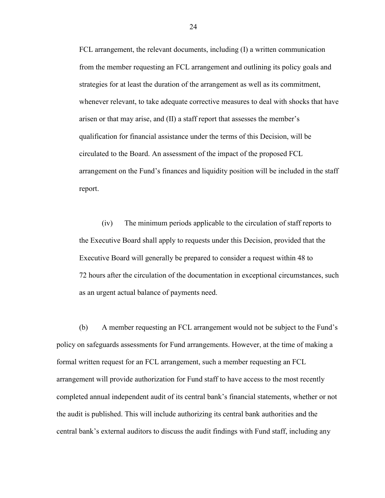FCL arrangement, the relevant documents, including (I) a written communication from the member requesting an FCL arrangement and outlining its policy goals and strategies for at least the duration of the arrangement as well as its commitment, whenever relevant, to take adequate corrective measures to deal with shocks that have arisen or that may arise, and (II) a staff report that assesses the member's qualification for financial assistance under the terms of this Decision, will be circulated to the Board. An assessment of the impact of the proposed FCL arrangement on the Fund's finances and liquidity position will be included in the staff report.

(iv) The minimum periods applicable to the circulation of staff reports to the Executive Board shall apply to requests under this Decision, provided that the Executive Board will generally be prepared to consider a request within 48 to 72 hours after the circulation of the documentation in exceptional circumstances, such as an urgent actual balance of payments need.

(b) A member requesting an FCL arrangement would not be subject to the Fund's policy on safeguards assessments for Fund arrangements. However, at the time of making a formal written request for an FCL arrangement, such a member requesting an FCL arrangement will provide authorization for Fund staff to have access to the most recently completed annual independent audit of its central bank's financial statements, whether or not the audit is published. This will include authorizing its central bank authorities and the central bank's external auditors to discuss the audit findings with Fund staff, including any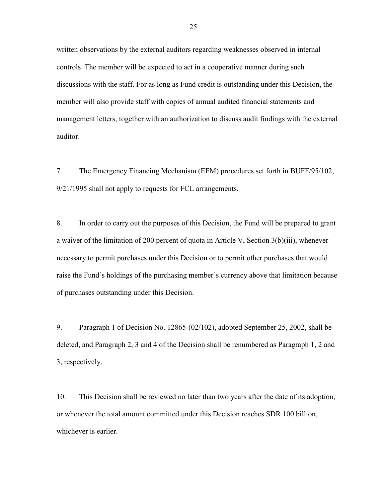written observations by the external auditors regarding weaknesses observed in internal controls. The member will be expected to act in a cooperative manner during such discussions with the staff. For as long as Fund credit is outstanding under this Decision, the member will also provide staff with copies of annual audited financial statements and management letters, together with an authorization to discuss audit findings with the external auditor.

7. The Emergency Financing Mechanism (EFM) procedures set forth in BUFF/95/102, 9/21/1995 shall not apply to requests for FCL arrangements.

8. In order to carry out the purposes of this Decision, the Fund will be prepared to grant a waiver of the limitation of 200 percent of quota in Article V, Section 3(b)(iii), whenever necessary to permit purchases under this Decision or to permit other purchases that would raise the Fund's holdings of the purchasing member's currency above that limitation because of purchases outstanding under this Decision.

9. Paragraph 1 of Decision No. 12865-(02/102), adopted September 25, 2002, shall be deleted, and Paragraph 2, 3 and 4 of the Decision shall be renumbered as Paragraph 1, 2 and 3, respectively.

10. This Decision shall be reviewed no later than two years after the date of its adoption, or whenever the total amount committed under this Decision reaches SDR 100 billion, whichever is earlier.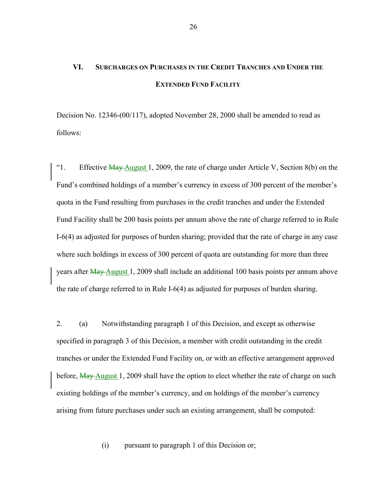# **VI. SURCHARGES ON PURCHASES IN THE CREDIT TRANCHES AND UNDER THE EXTENDED FUND FACILITY**

Decision No. 12346-(00/117), adopted November 28, 2000 shall be amended to read as follows:

"1. Effective May August 1, 2009, the rate of charge under Article V, Section 8(b) on the Fund's combined holdings of a member's currency in excess of 300 percent of the member's quota in the Fund resulting from purchases in the credit tranches and under the Extended Fund Facility shall be 200 basis points per annum above the rate of charge referred to in Rule I-6(4) as adjusted for purposes of burden sharing; provided that the rate of charge in any case where such holdings in excess of 300 percent of quota are outstanding for more than three years after May August 1, 2009 shall include an additional 100 basis points per annum above the rate of charge referred to in Rule I-6(4) as adjusted for purposes of burden sharing.

2. (a) Notwithstanding paragraph 1 of this Decision, and except as otherwise specified in paragraph 3 of this Decision, a member with credit outstanding in the credit tranches or under the Extended Fund Facility on, or with an effective arrangement approved before, May August 1, 2009 shall have the option to elect whether the rate of charge on such existing holdings of the member's currency, and on holdings of the member's currency arising from future purchases under such an existing arrangement, shall be computed:

(i) pursuant to paragraph 1 of this Decision or;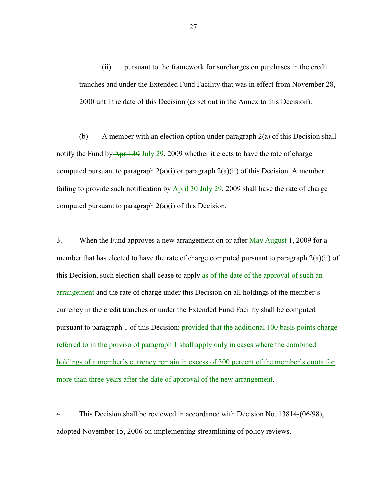(ii) pursuant to the framework for surcharges on purchases in the credit tranches and under the Extended Fund Facility that was in effect from November 28, 2000 until the date of this Decision (as set out in the Annex to this Decision).

(b) A member with an election option under paragraph 2(a) of this Decision shall notify the Fund by  $\overrightarrow{\text{April 30 July 29}}$ , 2009 whether it elects to have the rate of charge computed pursuant to paragraph  $2(a)(i)$  or paragraph  $2(a)(ii)$  of this Decision. A member failing to provide such notification by  $\frac{\text{April }30 \text{ July }29}{\text{July }29}$ , 2009 shall have the rate of charge computed pursuant to paragraph  $2(a)(i)$  of this Decision.

3. When the Fund approves a new arrangement on or after  $\frac{\text{May} - \text{August}}{1}$ , 2009 for a member that has elected to have the rate of charge computed pursuant to paragraph  $2(a)(ii)$  of this Decision, such election shall cease to apply as of the date of the approval of such an arrangement and the rate of charge under this Decision on all holdings of the member's currency in the credit tranches or under the Extended Fund Facility shall be computed pursuant to paragraph 1 of this Decision; provided that the additional 100 basis points charge referred to in the proviso of paragraph 1 shall apply only in cases where the combined holdings of a member's currency remain in excess of 300 percent of the member's quota for more than three years after the date of approval of the new arrangement.

4. This Decision shall be reviewed in accordance with Decision No. 13814-(06/98), adopted November 15, 2006 on implementing streamlining of policy reviews.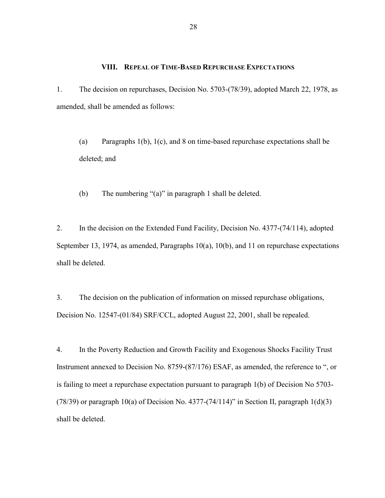### **VIII. REPEAL OF TIME-BASED REPURCHASE EXPECTATIONS**

1. The decision on repurchases, Decision No. 5703-(78/39), adopted March 22, 1978, as amended, shall be amended as follows:

(a) Paragraphs 1(b), 1(c), and 8 on time-based repurchase expectations shall be deleted; and

(b) The numbering "(a)" in paragraph 1 shall be deleted.

2. In the decision on the Extended Fund Facility, Decision No. 4377-(74/114), adopted September 13, 1974, as amended, Paragraphs 10(a), 10(b), and 11 on repurchase expectations shall be deleted.

3. The decision on the publication of information on missed repurchase obligations, Decision No. 12547-(01/84) SRF/CCL, adopted August 22, 2001, shall be repealed.

4. In the Poverty Reduction and Growth Facility and Exogenous Shocks Facility Trust Instrument annexed to Decision No. 8759-(87/176) ESAF, as amended, the reference to ", or is failing to meet a repurchase expectation pursuant to paragraph 1(b) of Decision No 5703- (78/39) or paragraph 10(a) of Decision No. 4377-(74/114)" in Section II, paragraph  $1(d)(3)$ shall be deleted.